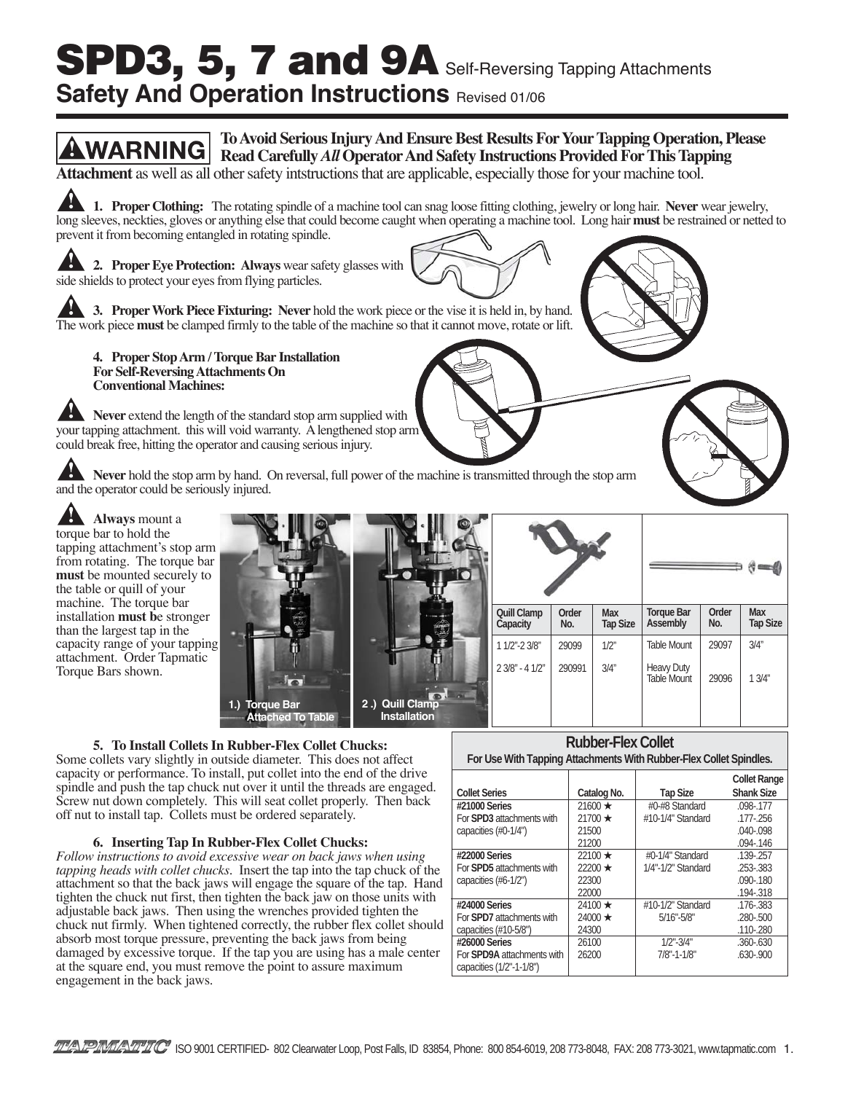# SPD3, 5, 7 and 9A Self-Reversing Tapping Attachments **Safety And Operation Instructions Revised 01/06**



 **2 .) Quill Clamp Installation**

| 5. To Install Collets In Rubber-Flex Collet Chucks: |  |  |  |  |  |
|-----------------------------------------------------|--|--|--|--|--|
|-----------------------------------------------------|--|--|--|--|--|

**1.) Torque Bar**

 **Attached To Table**

installation **must b**e stronger than the largest tap in the capacity range of your tapping attachment. Order Tapmatic Torque Bars shown.

Some collets vary slightly in outside diameter. This does not affect capacity or performance. To install, put collet into the end of the drive spindle and push the tap chuck nut over it until the threads are engaged. Screw nut down completely. This will seat collet properly. Then back off nut to install tap. Collets must be ordered separately.

#### **6. Inserting Tap In Rubber-Flex Collet Chucks:**

*Follow instructions to avoid excessive wear on back jaws when using tapping heads with collet chucks.* Insert the tap into the tap chuck of the attachment so that the back jaws will engage the square of the tap. Hand tighten the chuck nut first, then tighten the back jaw on those units with adjustable back jaws. Then using the wrenches provided tighten the chuck nut firmly. When tightened correctly, the rubber flex collet should absorb most torque pressure, preventing the back jaws from being damaged by excessive torque. If the tap you are using has a male center at the square end, you must remove the point to assure maximum engagement in the back jaws.

|                                   |               |                    | <b>Collet Range</b> |
|-----------------------------------|---------------|--------------------|---------------------|
| <b>Collet Series</b>              | Catalog No.   | <b>Tap Size</b>    | <b>Shank Size</b>   |
| #21000 Series                     | $21600 \star$ | #0-#8 Standard     | .098-.177           |
| For <b>SPD3</b> attachments with  | $21700 \star$ | #10-1/4" Standard  | $.177 - .256$       |
| capacities (#0-1/4")              | 21500         |                    | $.040 - .098$       |
|                                   | 21200         |                    | $.094 - .146$       |
| #22000 Series                     | $22100 \star$ | #0-1/4" Standard   | .139-.257           |
| For <b>SPD5</b> attachments with  | $22200 \star$ | 1/4"-1/2" Standard | .253-.383           |
| capacities (#6-1/2")              | 22300         |                    | $.090 - .180$       |
|                                   | 22000         |                    | .194-.318           |
| #24000 Series                     | $24100 \star$ | #10-1/2" Standard  | .176-.383           |
| For <b>SPD7</b> attachments with  | $24000 \star$ | $5/16" - 5/8"$     | $.280 - .500$       |
| capacities (#10-5/8")             | 24300         |                    | .110-.280           |
| #26000 Series                     | 26100         | $1/2$ "-3/4"       | $.360 - 630$        |
| For <b>SPD9A</b> attachments with | 26200         | $7/8" - 1 - 1/8"$  | $.630 - .900$       |
| capacities (1/2"-1-1/8")          |               |                    |                     |

**Rubber-Flex Collet For Use With Tapping Attachments With Rubber-Flex Collet Spindles.**

Torque Bar **| Order | Max**<br>Assembly | No. | Tap Size

Table Mount | 29097 | 3/4"

Table Mount | 29096 | 13/4"

Assembly

Heavy Duty

**Quill Clamp** | Order | Max<br>Capacity | No. | Tap Size

1 1/2"-2 3/8" 29099 1/2" 2 3/8" - 4 1/2" 290991 3/4"

**Capacity**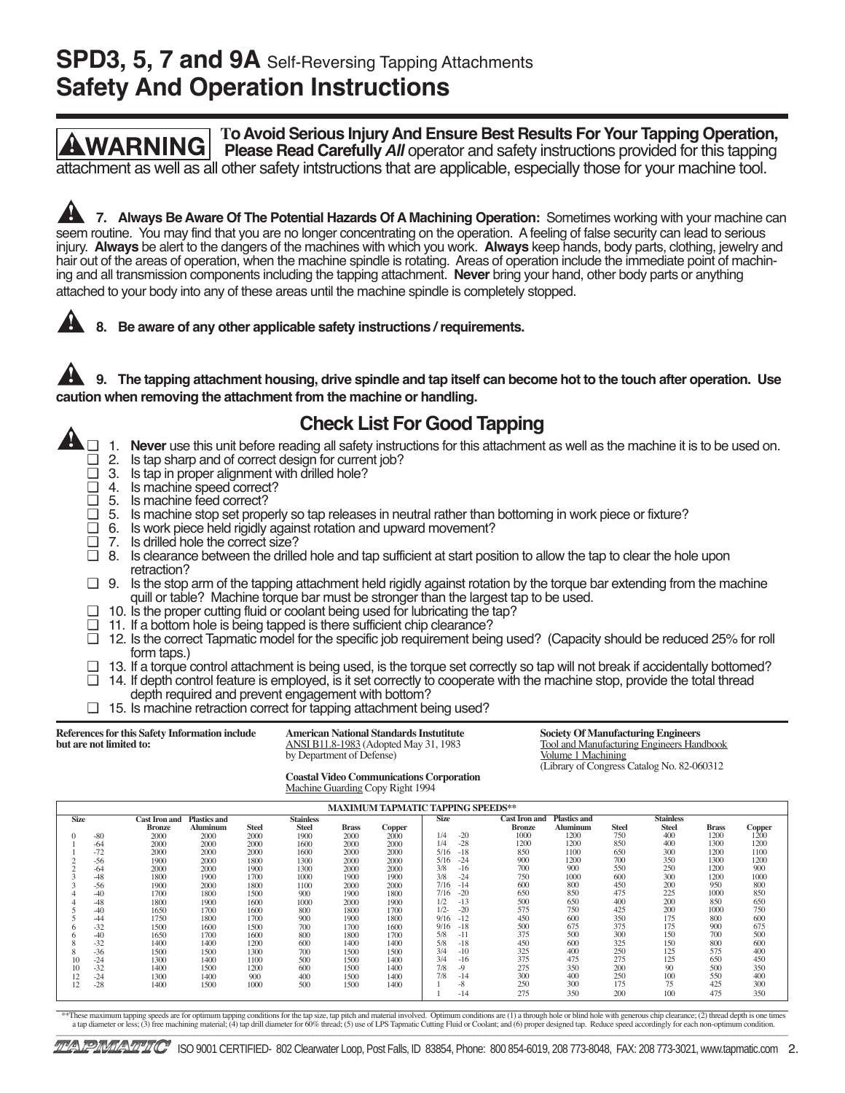### **SPD3, 5, 7 and 9A** Self-Reversing Tapping Attachments **Safety And Operation Instructions**



|             |       |                      |                     |              |                  |              |        | <b>MAXIMUM TAPMATIC TAPPING SPEEDS**</b> |                      |                     |              |                  |              |               |
|-------------|-------|----------------------|---------------------|--------------|------------------|--------------|--------|------------------------------------------|----------------------|---------------------|--------------|------------------|--------------|---------------|
| <b>Size</b> |       | <b>Cast Iron and</b> | <b>Plastics and</b> |              | <b>Stainless</b> |              |        | <b>Size</b>                              | <b>Cast Iron and</b> | <b>Plastics and</b> |              | <b>Stainless</b> |              |               |
|             |       | <b>Bronze</b>        | Aluminum            | <b>Steel</b> | <b>Steel</b>     | <b>Brass</b> | Copper |                                          | <b>Bronze</b>        | Aluminum            | <b>Steel</b> | <b>Steel</b>     | <b>Brass</b> | <b>Copper</b> |
|             | $-80$ | 2000                 | 2000                | 2000         | 1900             | 2000         | 2000   | 1/4<br>$-20$                             | 1000                 | 1200                | 750          | 400              | 1200         | 1200          |
|             | $-64$ | 2000                 | 2000                | 2000         | 1600             | 2000         | 2000   | $-28$<br>1/4                             | 1200                 | 1200                | 850          | 400              | 1300         | 1200          |
|             | $-72$ | 2000                 | 2000                | 2000         | 1600             | 2000         | 2000   | $-18$<br>5/16                            | 850                  | 1100                | 650          | 300              | 1200         | 1100          |
|             | $-56$ | 1900                 | 2000                | 1800         | 1300             | 2000         | 2000   | $-24$<br>5/16                            | 900                  | 1200                | 700          | 350              | 1300         | 1200          |
|             | $-64$ | 2000                 | 2000                | 1900         | 1300             | 2000         | 2000   | 3/8<br>$-16$                             | 700                  | 900                 | 550          | 250              | 1200         | 900           |
|             | $-48$ | 1800                 | 1900                | 1700         | 1000             | 1900         | 1900   | 3/8<br>$-24$                             | 750                  | 1000                | 600          | 300              | 1200         | 1000          |
|             | $-56$ | 1900                 | 2000                | 1800         | 1100             | 2000         | 2000   | 7/16<br>$-14$                            | 600                  | 800                 | 450          | 200              | 950          | 800           |
|             | $-40$ | 1700                 | 1800                | 1500         | 900              | 1900         | 1800   | $-20$<br>7/16                            | 650                  | 850                 | 475          | 225              | 1000         | 850           |
|             | $-48$ | 1800                 | 1900                | 1600         | 1000             | 2000         | 1900   | 1/2<br>$-13$                             | 500                  | 650                 | 400          | 200              | 850          | 650           |
|             | $-40$ | 1650                 | 1700                | 1600         | 800              | 1800         | 1700   | $1/2 -$<br>$-20$                         | 575                  | 750                 | 425          | 200              | 1000         | 750           |
|             | $-44$ | 1750                 | 1800                | 1700         | 900              | 1900         | 1800   | 9/16<br>$-12$                            | 450                  | 600                 | 350          | 175              | 800          | 600           |
|             | $-32$ | 1500                 | 1600                | 1500         | 700              | 1700         | 1600   | $-18$<br>9/16                            | 500                  | 675                 | 375          | 175              | 900          | 675           |
|             | $-40$ | 1650                 | 1700                | 1600         | 800              | 1800         | 1700   | 5/8<br>$-11$                             | 375                  | 500                 | 300          | 150              | 700          | 500           |
|             | $-32$ | 1400                 | 1400                | 1200         | 600              | 1400         | 1400   | $-18$<br>5/8                             | 450                  | 600                 | 325          | 150              | 800          | 600           |
|             | $-36$ | 1500                 | 1500                | 1300         | 700              | 1500         | 1500   | 3/4<br>$-10$                             | 325                  | 400                 | 250          | 125              | 575          | 400           |
|             | $-24$ | 1300                 | 1400                | 1100         | 500              | 1500         | 1400   | 3/4<br>$-16$                             | 375                  | 475                 | 275          | 125              | 650          | 450           |
|             | $-32$ | 1400                 | 1500                | 1200         | 600              | 1500         | 1400   | 7/8<br>$-9$                              | 275                  | 350                 | 200          | 90               | 500          | 350           |
| 12          | $-24$ | 1300                 | 1400                | 900          | 400              | 1500         | 1400   | 7/8<br>$-14$                             | 300                  | 400                 | 250          | 100              | 550          | 400           |
| 12          | $-28$ | 1400                 | 1500                | 1000         | 500              | 1500         | 1400   | $-8$                                     | 250                  | 300                 | 175          | 75               | 425          | 300           |
|             |       |                      |                     |              |                  |              |        | $-14$                                    | 275                  | 350                 | 200          | 100              | 475          | 350           |

\*\*These maximum tapping speeds are for optimum tapping conditions for the tap size, tap pitch and material involved. Optimum conditions are (1) a through hole or blind hole with generous chip clearance; (2) thread depth is \_\_\_\_\_\_\_\_\_\_\_\_\_\_\_\_\_\_\_\_\_\_\_\_\_\_\_\_\_\_\_\_\_\_\_\_\_\_\_\_\_\_\_\_\_\_\_\_\_\_\_\_\_\_\_\_\_\_\_\_\_\_\_\_\_\_\_\_\_\_\_\_\_\_\_\_\_\_\_\_\_\_\_\_\_\_\_\_\_\_\_\_\_\_\_\_\_\_\_\_\_\_\_\_\_\_\_\_\_\_\_\_\_\_\_\_\_\_\_\_\_\_\_\_\_\_\_\_\_\_\_\_\_\_\_\_\_\_\_\_\_\_\_\_\_\_\_\_\_\_\_\_\_\_\_\_\_\_\_\_\_\_\_\_\_\_\_\_\_\_\_\_\_\_\_\_\_\_\_\_\_\_\_\_\_\_\_\_\_\_\_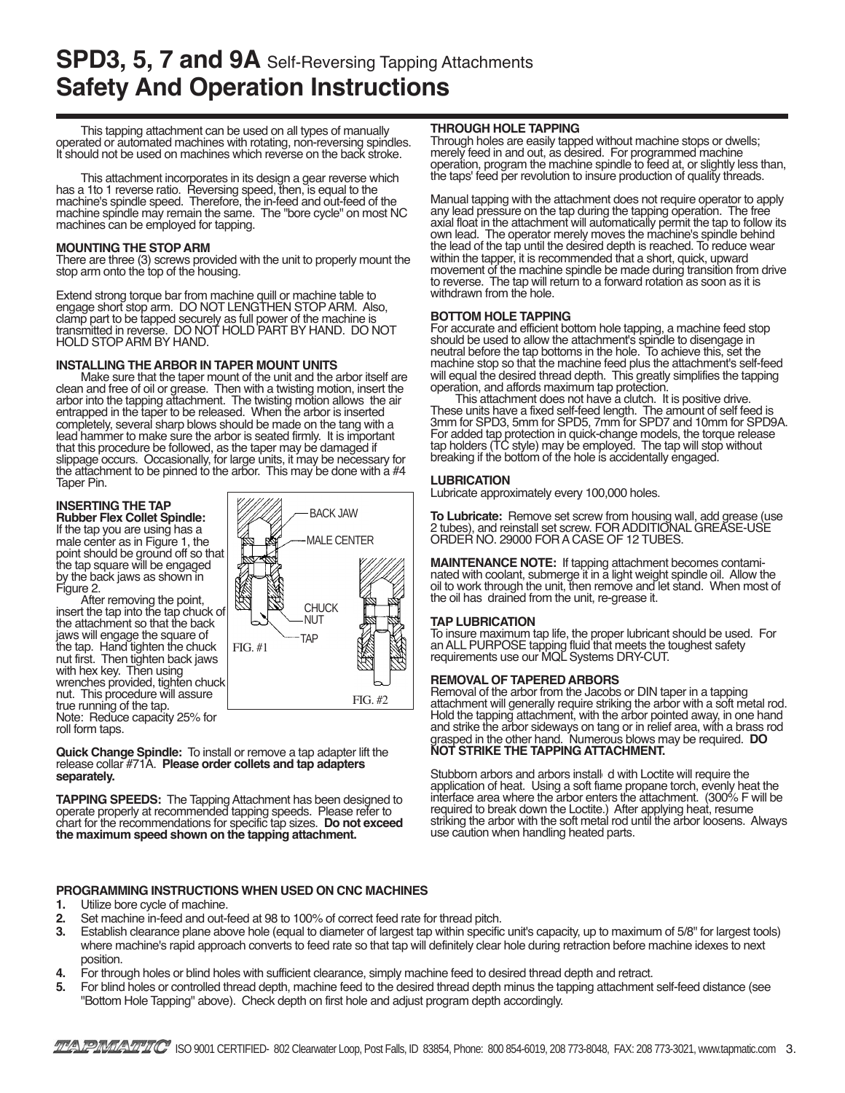### **SPD3, 5, 7 and 9A** Self-Reversing Tapping Attachments **Safety And Operation Instructions**

This tapping attachment can be used on all types of manually operated or automated machines with rotating, non-reversing spindles. It should not be used on machines which reverse on the back stroke.

This attachment incorporates in its design a gear reverse which has a 1to 1 reverse ratio. Reversing speed, then, is equal to the machine's spindle speed. Therefore, the in-feed and out-feed of the machine spindle may remain the same. The "bore cycle" on most NC machines can be employed for tapping.

#### **MOUNTING THE STOP ARM**

There are three (3) screws provided with the unit to properly mount the stop arm onto the top of the housing.

Extend strong torque bar from machine quill or machine table to engage short stop arm. DO NOT LENGTHEN STOP ARM. Also, clamp part to be tapped securely as full power of the machine is transmitted in reverse. DO NOT HOLD PART BY HAND. DO NOT HOLD STOP ARM BY HAND.

#### **INSTALLING THE ARBOR IN TAPER MOUNT UNITS**

Make sure that the taper mount of the unit and the arbor itself are clean and free of oil or grease. Then with a twisting motion, insert the arbor into the tapping attachment. The twisting motion allows the air entrapped in the taper to be released. When the arbor is inserted completely, several sharp blows should be made on the tang with a lead hammer to make sure the arbor is seated firmly. It is important that this procedure be followed, as the taper may be damaged if slippage occurs. Occasionally, for large units, it may be necessary for the attachment to be pinned to the arbor. This may be done with a #4 Taper Pin.

#### **INSERTING THE TAP**

**Rubber Flex Collet Spindle:** If the tap you are using has a male center as in Figure 1, the point should be ground off so that the tap square will be engaged by the back jaws as shown in

After removing the point,<br>insert the tap into the tap chuck of the attachment so that the back jaws will engage the square of the tap. Hand tighten the chuck nut first. Then tighten back jaws with hex key. Then using wrenches provided, tighten chuck nut. This procedure will assure true running of the tap. Note: Reduce capacity 25% for roll form taps.



**Quick Change Spindle:** To install or remove a tap adapter lift the release collar #71A. **Please order collets and tap adapters separately.**

**TAPPING SPEEDS:** The Tapping Attachment has been designed to operate properly at recommended tapping speeds. Please refer to chart for the recommendations for specific tap sizes. **Do not exceed the maximum speed shown on the tapping attachment.**

#### **THROUGH HOLE TAPPING**

Through holes are easily tapped without machine stops or dwells; merely feed in and out, as desired. For programmed machine operation, program the machine spindle to feed at, or slightly less than, the taps' feed per revolution to insure production of quality threads.

Manual tapping with the attachment does not require operator to apply any lead pressure on the tap during the tapping operation. The free axial float in the attachment will automatically permit the tap to follow its own lead. The operator merely moves the machine's spindle behind the lead of the tap until the desired depth is reached. To reduce wear within the tapper, it is recommended that a short, quick, upward movement of the machine spindle be made during transition from drive to reverse. The tap will return to a forward rotation as soon as it is withdrawn from the hole.

#### **BOTTOM HOLE TAPPING**

For accurate and efficient bottom hole tapping, a machine feed stop should be used to allow the attachment's spindle to disengage in neutral before the tap bottoms in the hole. To achieve this, set the machine stop so that the machine feed plus the attachment's self-feed will equal the desired thread depth. This greatly simplifies the tapping operation, and affords maximum tap protection.

This attachment does not have a clutch. It is positive drive. These units have a fixed self-feed length. The amount of self feed is 3mm for SPD3, 5mm for SPD5, 7mm for SPD7 and 10mm for SPD9A. For added tap protection in quick-change models, the torque release tap holders (TC style) may be employed. The tap will stop without breaking if the bottom of the hole is accidentally engaged.

#### **LUBRICATION**

Lubricate approximately every 100,000 holes.

**To Lubricate:** Remove set screw from housing wall, add grease (use 2 tubes), and reinstall set screw. FOR ADDITIONAL GREASE-USE ORDER NO. 29000 FOR A CASE OF 12 TUBES.

**MAINTENANCE NOTE:** If tapping attachment becomes contaminated with coolant, submerge it in a light weight spindle oil. Allow the oil to work through the unit, then remove and let stand. When most of the oil has drained from the unit, re-grease it.

#### **TAP LUBRICATION**

To insure maximum tap life, the proper lubricant should be used. For an ALL PURPOSE tapping fluid that meets the toughest safety requirements use our MQL Systems DRY-CUT.

#### **REMOVAL OF TAPERED ARBORS**

Removal of the arbor from the Jacobs or DIN taper in a tapping attachment will generally require striking the arbor with a soft metal rod. Hold the tapping attachment, with the arbor pointed away, in one hand and strike the arbor sideways on tang or in relief area, with a brass rod grasped in the other hand. Numerous blows may be required. **DO NOT STRIKE THE TAPPING ATTACHMENT.**

Stubborn arbors and arbors install d with Loctite will require the application of heat. Using a soft flame propane torch, evenly heat the interface area where the arbor enters the attachment. (300% F will be required to break down the Loctite.) After applying heat, resume striking the arbor with the soft metal rod until the arbor loosens. Always use caution when handling heated parts.

#### **PROGRAMMING INSTRUCTIONS WHEN USED ON CNC MACHINES**

- **1.** Utilize bore cycle of machine.
- **2.** Set machine in-feed and out-feed at 98 to 100% of correct feed rate for thread pitch.
- **3.** Establish clearance plane above hole (equal to diameter of largest tap within specific unit's capacity, up to maximum of 5/8" for largest tools) where machine's rapid approach converts to feed rate so that tap will definitely clear hole during retraction before machine idexes to next position.
- **4.** For through holes or blind holes with sufficient clearance, simply machine feed to desired thread depth and retract.
- **5.** For blind holes or controlled thread depth, machine feed to the desired thread depth minus the tapping attachment self-feed distance (see "Bottom Hole Tapping" above). Check depth on first hole and adjust program depth accordingly.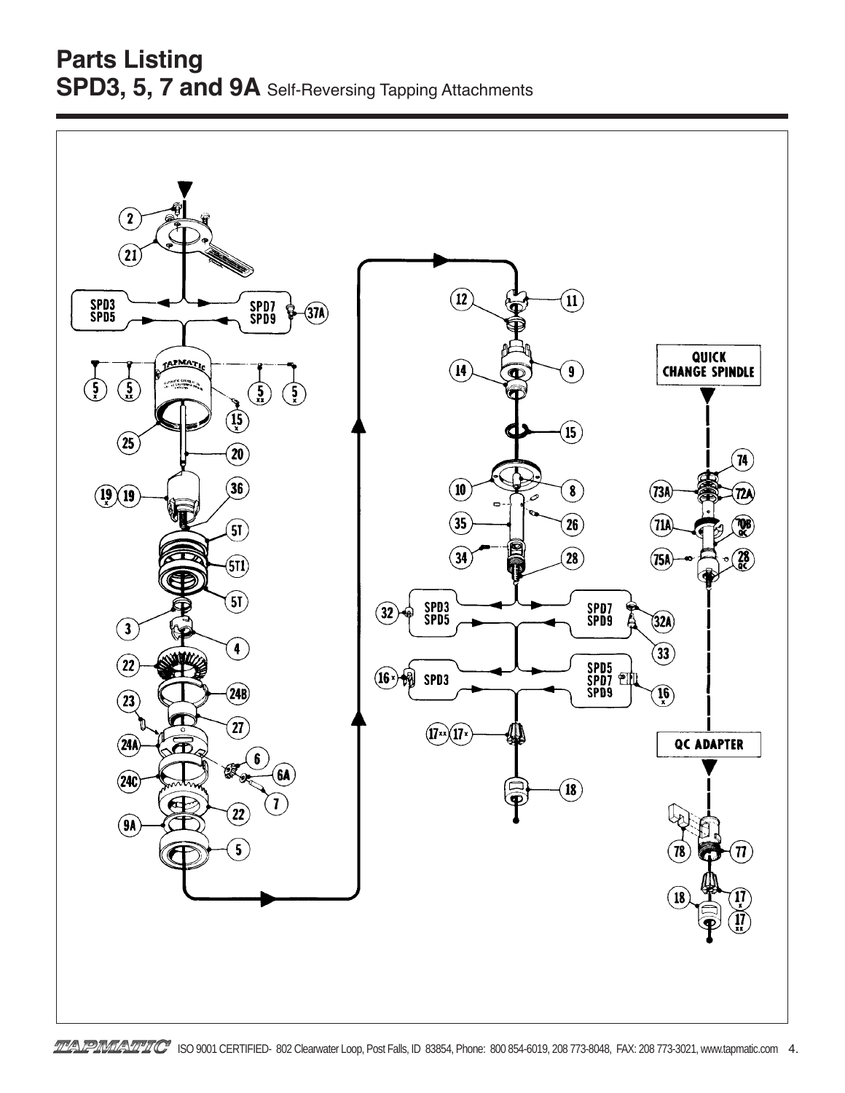### **Parts Listing SPD3, 5, 7 and 9A** Self-Reversing Tapping Attachments

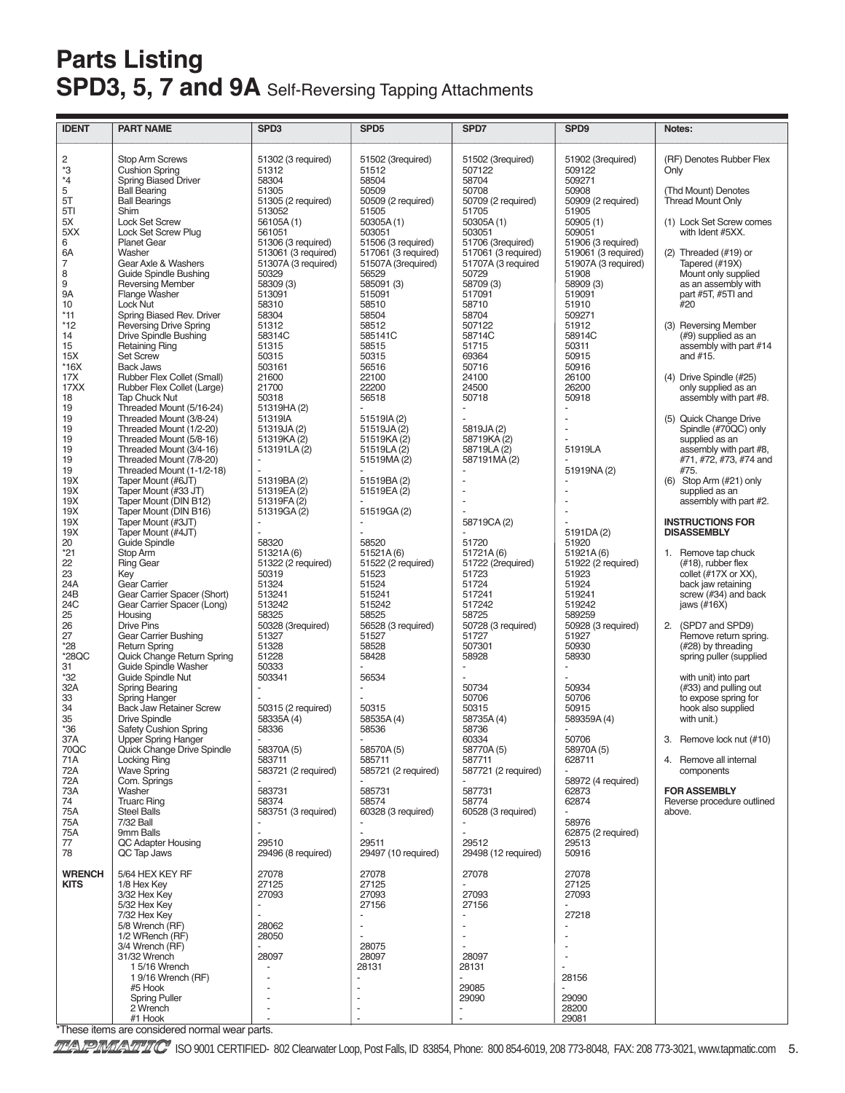## **Parts Listing** SPD3, 5, 7 and 9A Self-Reversing Tapping Attachments

| <b>IDENT</b>                                                                                                                                                                                                                                                                                                                                                                                                                                                               | <b>PART NAME</b>                                                                                                                                                                                                                                                                                                                                                                                                                                                                                                                                                                                                                                                                                                                                                                                                                                                                                                                                                                                                                                                                                                                                                                                                                                                                                                                                                                                                                                                                                                                                                                                                                    | SPD3                                                                                                                                                                                                                                                                                                                                                                                                                                                                                                                                                                                                                                                                                                                                                                   | SPD <sub>5</sub>                                                                                                                                                                                                                                                                                                                                                                                                                                                                                                                                                                                                                                                                                                                 | SPD7                                                                                                                                                                                                                                                                                                                                                                                                                                                                                                                                                                                                                                                                                                    | SPD9                                                                                                                                                                                                                                                                                                                                                                                                                                                                                                                                                                                                                                                        | Notes:                                                                                                                                                                                                                                                                                                                                                                                                                                                                                                                                                                                                                                                                                                                                                                                                                                                                                                                                                                                                                                                                                                                                                                                |
|----------------------------------------------------------------------------------------------------------------------------------------------------------------------------------------------------------------------------------------------------------------------------------------------------------------------------------------------------------------------------------------------------------------------------------------------------------------------------|-------------------------------------------------------------------------------------------------------------------------------------------------------------------------------------------------------------------------------------------------------------------------------------------------------------------------------------------------------------------------------------------------------------------------------------------------------------------------------------------------------------------------------------------------------------------------------------------------------------------------------------------------------------------------------------------------------------------------------------------------------------------------------------------------------------------------------------------------------------------------------------------------------------------------------------------------------------------------------------------------------------------------------------------------------------------------------------------------------------------------------------------------------------------------------------------------------------------------------------------------------------------------------------------------------------------------------------------------------------------------------------------------------------------------------------------------------------------------------------------------------------------------------------------------------------------------------------------------------------------------------------|------------------------------------------------------------------------------------------------------------------------------------------------------------------------------------------------------------------------------------------------------------------------------------------------------------------------------------------------------------------------------------------------------------------------------------------------------------------------------------------------------------------------------------------------------------------------------------------------------------------------------------------------------------------------------------------------------------------------------------------------------------------------|----------------------------------------------------------------------------------------------------------------------------------------------------------------------------------------------------------------------------------------------------------------------------------------------------------------------------------------------------------------------------------------------------------------------------------------------------------------------------------------------------------------------------------------------------------------------------------------------------------------------------------------------------------------------------------------------------------------------------------|---------------------------------------------------------------------------------------------------------------------------------------------------------------------------------------------------------------------------------------------------------------------------------------------------------------------------------------------------------------------------------------------------------------------------------------------------------------------------------------------------------------------------------------------------------------------------------------------------------------------------------------------------------------------------------------------------------|-------------------------------------------------------------------------------------------------------------------------------------------------------------------------------------------------------------------------------------------------------------------------------------------------------------------------------------------------------------------------------------------------------------------------------------------------------------------------------------------------------------------------------------------------------------------------------------------------------------------------------------------------------------|---------------------------------------------------------------------------------------------------------------------------------------------------------------------------------------------------------------------------------------------------------------------------------------------------------------------------------------------------------------------------------------------------------------------------------------------------------------------------------------------------------------------------------------------------------------------------------------------------------------------------------------------------------------------------------------------------------------------------------------------------------------------------------------------------------------------------------------------------------------------------------------------------------------------------------------------------------------------------------------------------------------------------------------------------------------------------------------------------------------------------------------------------------------------------------------|
| $rac{2}{3}$<br>$*_{4}$<br>5<br>5T<br>5TI<br>5X<br>5XX<br>6<br>6A<br>7<br>8<br>9<br>9Α<br>10<br>$*11$<br>$*12$<br>14<br>15<br>15X<br>$*16X$<br>17X<br>17XX<br>18<br>19<br>19<br>19<br>19<br>19<br>19<br>19<br>19X<br>19X<br>19X<br>19X<br>19X<br>19X<br>20<br>$*21$<br>22<br>23<br>24A<br>24B<br>24C<br>25<br>26<br>27<br>$*28$<br>$*28QC$<br>31<br>*32<br>32A<br>33<br>34<br>35<br>$*36$<br>37A<br>70QC<br>71A<br>72A<br>72A<br>73A<br>74<br>75A<br>75A<br>75A<br>77<br>78 | <b>Stop Arm Screws</b><br><b>Cushion Spring</b><br>Spring Biased Driver<br><b>Ball Bearing</b><br><b>Ball Bearings</b><br>Shim<br><b>Lock Set Screw</b><br>Lock Set Screw Plug<br><b>Planet Gear</b><br>Washer<br>Gear Axle & Washers<br><b>Guide Spindle Bushing</b><br><b>Reversing Member</b><br><b>Flange Washer</b><br>Lock Nut<br>Spring Biased Rev. Driver<br><b>Reversing Drive Spring</b><br><b>Drive Spindle Bushing</b><br><b>Retaining Ring</b><br><b>Set Screw</b><br><b>Back Jaws</b><br>Rubber Flex Collet (Small)<br>Rubber Flex Collet (Large)<br><b>Tap Chuck Nut</b><br>Threaded Mount (5/16-24)<br>Threaded Mount (3/8-24)<br>Threaded Mount (1/2-20)<br>Threaded Mount (5/8-16)<br>Threaded Mount (3/4-16)<br>Threaded Mount (7/8-20)<br>Threaded Mount (1-1/2-18)<br>Taper Mount (#6JT)<br>Taper Mount (#33 JT)<br>Taper Mount (DIN B12)<br>Taper Mount (DIN B16)<br>Taper Mount (#3JT)<br>Taper Mount (#4JT)<br><b>Guide Spindle</b><br>Stop Arm<br><b>Ring Gear</b><br>Key<br>Gear Carrier<br>Gear Carrier Spacer (Short)<br>Gear Carrier Spacer (Long)<br>Housing<br><b>Drive Pins</b><br>Gear Carrier Bushing<br><b>Return Spring</b><br>Quick Change Return Spring<br>Guide Spindle Washer<br>Guide Spindle Nut<br><b>Spring Bearing</b><br><b>Spring Hanger</b><br><b>Back Jaw Retainer Screw</b><br><b>Drive Spindle</b><br><b>Safety Cushion Spring</b><br><b>Upper Spring Hanger</b><br>Quick Change Drive Spindle<br><b>Locking Ring</b><br><b>Wave Spring</b><br>Com. Springs<br>Washer<br><b>Truarc Ring</b><br><b>Steel Balls</b><br>7/32 Ball<br>9mm Balls<br>QC Adapter Housing<br>QC Tap Jaws | 51302 (3 required)<br>51312<br>58304<br>51305<br>51305 (2 required)<br>513052<br>56105A(1)<br>561051<br>51306 (3 required)<br>513061 (3 required)<br>51307A (3 required)<br>50329<br>58309 (3)<br>513091<br>58310<br>58304<br>51312<br>58314C<br>51315<br>50315<br>503161<br>21600<br>21700<br>50318<br>51319HA(2)<br>51319IA<br>51319JA (2)<br>51319KA (2)<br>513191LA(2)<br>51319BA(2)<br>51319EA(2)<br>51319FA(2)<br>51319GA(2)<br>58320<br>51321A (6)<br>51322 (2 required)<br>50319<br>51324<br>513241<br>513242<br>58325<br>50328 (3required)<br>51327<br>51328<br>51228<br>50333<br>503341<br>50315 (2 required)<br>58335A (4)<br>58336<br>58370A (5)<br>583711<br>583721 (2 required)<br>583731<br>58374<br>583751 (3 required)<br>29510<br>29496 (8 required) | 51502 (3required)<br>51512<br>58504<br>50509<br>50509 (2 required)<br>51505<br>50305A(1)<br>503051<br>51506 (3 required)<br>517061 (3 required)<br>51507A (3required)<br>56529<br>585091 (3)<br>515091<br>58510<br>58504<br>58512<br>585141C<br>58515<br>50315<br>56516<br>22100<br>22200<br>56518<br>51519IA(2)<br>51519JA(2)<br>51519KA(2)<br>51519LA(2)<br>51519MA(2)<br>51519BA(2)<br>51519EA (2)<br>51519GA(2)<br>58520<br>51521A(6)<br>51522 (2 required)<br>51523<br>51524<br>515241<br>515242<br>58525<br>56528 (3 required)<br>51527<br>58528<br>58428<br>56534<br>50315<br>58535A (4)<br>58536<br>58570A (5)<br>585711<br>585721 (2 required)<br>585731<br>58574<br>60328 (3 required)<br>29511<br>29497 (10 required) | 51502 (3required)<br>507122<br>58704<br>50708<br>50709 (2 required)<br>51705<br>50305A(1)<br>503051<br>51706 (3required)<br>517061 (3 required)<br>51707A (3 required<br>50729<br>58709 (3)<br>517091<br>58710<br>58704<br>507122<br>58714C<br>51715<br>69364<br>50716<br>24100<br>24500<br>50718<br>5819JA (2)<br>58719KA(2)<br>58719LA(2)<br>587191MA(2)<br>58719CA(2)<br>51720<br>51721A(6)<br>51722 (2required)<br>51723<br>51724<br>517241<br>517242<br>58725<br>50728 (3 required)<br>51727<br>507301<br>58928<br>50734<br>50706<br>50315<br>58735A (4)<br>58736<br>60334<br>58770A (5)<br>587711<br>587721 (2 required)<br>587731<br>58774<br>60528 (3 required)<br>29512<br>29498 (12 required) | 51902 (3required)<br>509122<br>509271<br>50908<br>50909 (2 required)<br>51905<br>50905(1)<br>509051<br>51906 (3 required)<br>519061 (3 required)<br>51907A (3 required)<br>51908<br>58909 (3)<br>519091<br>51910<br>509271<br>51912<br>58914C<br>50311<br>50915<br>50916<br>26100<br>26200<br>50918<br>51919LA<br>51919NA(2)<br>5191DA (2)<br>51920<br>51921A(6)<br>51922 (2 required)<br>51923<br>51924<br>519241<br>519242<br>589259<br>50928 (3 required)<br>51927<br>50930<br>58930<br>50934<br>50706<br>50915<br>589359A (4)<br>50706<br>58970A (5)<br>628711<br>58972 (4 required)<br>62873<br>62874<br>58976<br>62875 (2 required)<br>29513<br>50916 | (RF) Denotes Rubber Flex<br>Only<br>(Thd Mount) Denotes<br><b>Thread Mount Only</b><br>(1) Lock Set Screw comes<br>with Ident #5XX.<br>$(2)$ Threaded $(#19)$ or<br>Tapered (#19X)<br>Mount only supplied<br>as an assembly with<br>part #5T. #5TI and<br>#20<br>(3) Reversing Member<br>(#9) supplied as an<br>assembly with part #14<br>and #15.<br>(4) Drive Spindle (#25)<br>only supplied as an<br>assembly with part #8.<br>(5) Quick Change Drive<br>Spindle (#70QC) only<br>supplied as an<br>assembly with part #8,<br>#71, #72, #73, #74 and<br>#75.<br>$(6)$ Stop Arm $(\#21)$ only<br>supplied as an<br>assembly with part #2.<br><b>INSTRUCTIONS FOR</b><br><b>DISASSEMBLY</b><br>1. Remove tap chuck<br>$(\#18)$ , rubber flex<br>collet (#17X or XX),<br>back jaw retaining<br>screw (#34) and back<br>jaws $(\#16X)$<br>2. (SPD7 and SPD9)<br>Remove return spring.<br>(#28) by threading<br>spring puller (supplied<br>with unit) into part<br>(#33) and pulling out<br>to expose spring for<br>hook also supplied<br>with unit.)<br>3. Remove lock nut (#10)<br>4. Remove all internal<br>components<br><b>FOR ASSEMBLY</b><br>Reverse procedure outlined<br>above. |
| <b>WRENCH</b><br><b>KITS</b><br>$*Then a then a$                                                                                                                                                                                                                                                                                                                                                                                                                           | 5/64 HEX KEY RF<br>1/8 Hex Kev<br>3/32 Hex Key<br>5/32 Hex Key<br>7/32 Hex Key<br>5/8 Wrench (RF)<br>1/2 WRench (RF)<br>3/4 Wrench (RF)<br>31/32 Wrench<br>15/16 Wrench<br>1 9/16 Wrench (RF)<br>#5 Hook<br><b>Spring Puller</b><br>2 Wrench<br>#1 Hook<br>a aanaidayad namaal waay nasha                                                                                                                                                                                                                                                                                                                                                                                                                                                                                                                                                                                                                                                                                                                                                                                                                                                                                                                                                                                                                                                                                                                                                                                                                                                                                                                                           | 27078<br>27125<br>27093<br>÷,<br>28062<br>28050<br>28097                                                                                                                                                                                                                                                                                                                                                                                                                                                                                                                                                                                                                                                                                                               | 27078<br>27125<br>27093<br>27156<br>28075<br>28097<br>28131                                                                                                                                                                                                                                                                                                                                                                                                                                                                                                                                                                                                                                                                      | 27078<br>27093<br>27156<br>28097<br>28131<br>29085<br>29090<br>$\overline{a}$                                                                                                                                                                                                                                                                                                                                                                                                                                                                                                                                                                                                                           | 27078<br>27125<br>27093<br>27218<br>$\blacksquare$<br>28156<br>29090<br>28200<br>29081                                                                                                                                                                                                                                                                                                                                                                                                                                                                                                                                                                      |                                                                                                                                                                                                                                                                                                                                                                                                                                                                                                                                                                                                                                                                                                                                                                                                                                                                                                                                                                                                                                                                                                                                                                                       |

These items are considered normal wear parts.